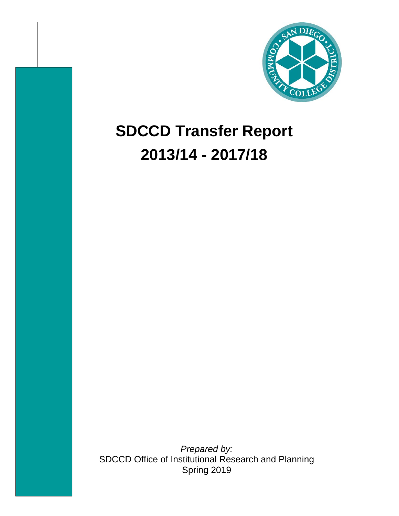

# **SDCCD Transfer Report 2013/14 - 2017/18**

*Prepared by:*  SDCCD Office of Institutional Research and Planning Spring 2019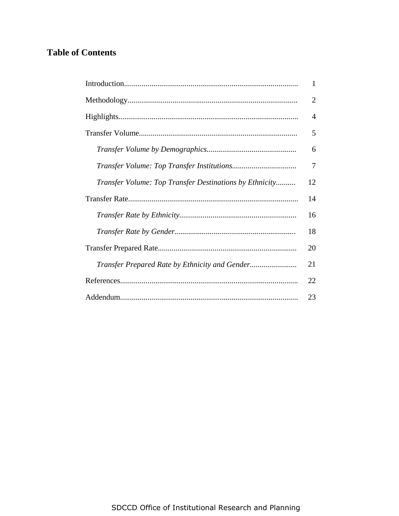## **Table of Contents**

|                                                         | 1              |
|---------------------------------------------------------|----------------|
|                                                         | $\overline{2}$ |
|                                                         | $\overline{4}$ |
|                                                         | 5              |
|                                                         | 6              |
|                                                         | 7              |
| Transfer Volume: Top Transfer Destinations by Ethnicity | 12             |
|                                                         | 14             |
|                                                         | 16             |
|                                                         | 18             |
|                                                         | 20             |
| Transfer Prepared Rate by Ethnicity and Gender          | 21             |
|                                                         | 22             |
|                                                         | 23             |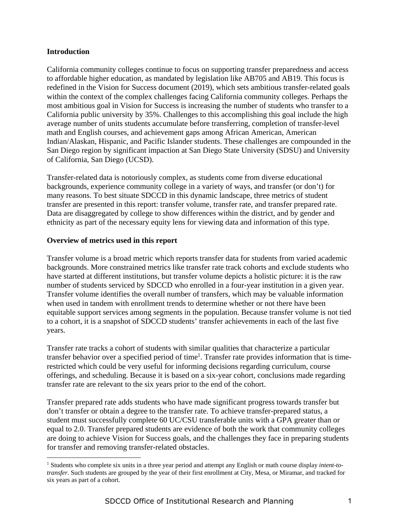## **Introduction**

<u>.</u>

California community colleges continue to focus on supporting transfer preparedness and access to affordable higher education, as mandated by legislation like AB705 and AB19. This focus is redefined in the Vision for Success document (2019), which sets ambitious transfer-related goals within the context of the complex challenges facing California community colleges. Perhaps the most ambitious goal in Vision for Success is increasing the number of students who transfer to a California public university by 35%. Challenges to this accomplishing this goal include the high average number of units students accumulate before transferring, completion of transfer-level math and English courses, and achievement gaps among African American, American Indian/Alaskan, Hispanic, and Pacific Islander students. These challenges are compounded in the San Diego region by significant impaction at San Diego State University (SDSU) and University of California, San Diego (UCSD).

Transfer-related data is notoriously complex, as students come from diverse educational backgrounds, experience community college in a variety of ways, and transfer (or don't) for many reasons. To best situate SDCCD in this dynamic landscape, three metrics of student transfer are presented in this report: transfer volume, transfer rate, and transfer prepared rate. Data are disaggregated by college to show differences within the district, and by gender and ethnicity as part of the necessary equity lens for viewing data and information of this type.

## **Overview of metrics used in this report**

Transfer volume is a broad metric which reports transfer data for students from varied academic backgrounds. More constrained metrics like transfer rate track cohorts and exclude students who have started at different institutions, but transfer volume depicts a holistic picture: it is the raw number of students serviced by SDCCD who enrolled in a four-year institution in a given year. Transfer volume identifies the overall number of transfers, which may be valuable information when used in tandem with enrollment trends to determine whether or not there have been equitable support services among segments in the population. Because transfer volume is not tied to a cohort, it is a snapshot of SDCCD students' transfer achievements in each of the last five years.

Transfer rate tracks a cohort of students with similar qualities that characterize a particular transfer behavior over a specified period of time<sup>1</sup>. Transfer rate provides information that is timerestricted which could be very useful for informing decisions regarding curriculum, course offerings, and scheduling. Because it is based on a six-year cohort, conclusions made regarding transfer rate are relevant to the six years prior to the end of the cohort.

Transfer prepared rate adds students who have made significant progress towards transfer but don't transfer or obtain a degree to the transfer rate. To achieve transfer-prepared status, a student must successfully complete 60 UC/CSU transferable units with a GPA greater than or equal to 2.0. Transfer prepared students are evidence of both the work that community colleges are doing to achieve Vision for Success goals, and the challenges they face in preparing students for transfer and removing transfer-related obstacles.

<sup>1</sup> Students who complete six units in a three year period and attempt any English or math course display *intent-totransfer*. Such students are grouped by the year of their first enrollment at City, Mesa, or Miramar, and tracked for six years as part of a cohort.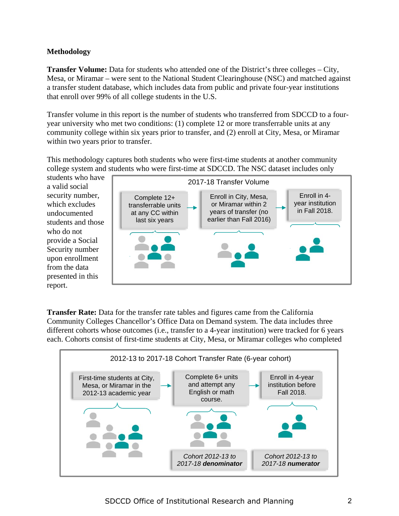## **Methodology**

**Transfer Volume:** Data for students who attended one of the District's three colleges – City, Mesa, or Miramar – were sent to the National Student Clearinghouse (NSC) and matched against a transfer student database, which includes data from public and private four-year institutions that enroll over 99% of all college students in the U.S.

Transfer volume in this report is the number of students who transferred from SDCCD to a fouryear university who met two conditions: (1) complete 12 or more transferrable units at any community college within six years prior to transfer, and (2) enroll at City, Mesa, or Miramar within two years prior to transfer.

This methodology captures both students who were first-time students at another community college system and students who were first-time at SDCCD. The NSC dataset includes only

students who have a valid social security number, which excludes undocumented students and those who do not provide a Social Security number upon enrollment from the data presented in this report.



**Transfer Rate:** Data for the transfer rate tables and figures came from the California Community Colleges Chancellor's Office Data on Demand system. The data includes three different cohorts whose outcomes (i.e., transfer to a 4-year institution) were tracked for 6 years each. Cohorts consist of first-time students at City, Mesa, or Miramar colleges who completed

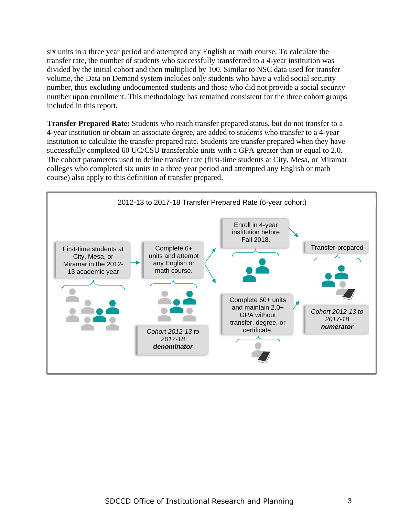six units in a three year period and attempted any English or math course. To calculate the transfer rate, the number of students who successfully transferred to a 4-year institution was divided by the initial cohort and then multiplied by 100. Similar to NSC data used for transfer volume, the Data on Demand system includes only students who have a valid social security number, thus excluding undocumented students and those who did not provide a social security number upon enrollment. This methodology has remained consistent for the three cohort groups included in this report.

**Transfer Prepared Rate:** Students who reach transfer prepared status, but do not transfer to a 4-year institution or obtain an associate degree, are added to students who transfer to a 4-year institution to calculate the transfer prepared rate. Students are transfer prepared when they have successfully completed 60 UC/CSU transferable units with a GPA greater than or equal to 2.0. The cohort parameters used to define transfer rate (first-time students at City, Mesa, or Miramar colleges who completed six units in a three year period and attempted any English or math course) also apply to this definition of transfer prepared.

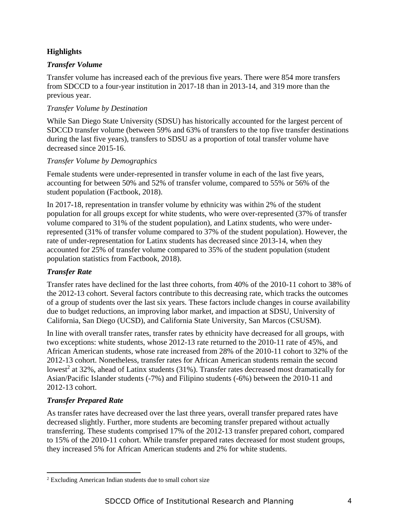## **Highlights**

## *Transfer Volume*

Transfer volume has increased each of the previous five years. There were 854 more transfers from SDCCD to a four-year institution in 2017-18 than in 2013-14, and 319 more than the previous year.

## *Transfer Volume by Destination*

While San Diego State University (SDSU) has historically accounted for the largest percent of SDCCD transfer volume (between 59% and 63% of transfers to the top five transfer destinations during the last five years), transfers to SDSU as a proportion of total transfer volume have decreased since 2015-16.

## *Transfer Volume by Demographics*

Female students were under-represented in transfer volume in each of the last five years, accounting for between 50% and 52% of transfer volume, compared to 55% or 56% of the student population (Factbook, 2018).

In 2017-18, representation in transfer volume by ethnicity was within 2% of the student population for all groups except for white students, who were over-represented (37% of transfer volume compared to 31% of the student population), and Latinx students, who were underrepresented (31% of transfer volume compared to 37% of the student population). However, the rate of under-representation for Latinx students has decreased since 2013-14, when they accounted for 25% of transfer volume compared to 35% of the student population (student population statistics from Factbook, 2018).

## *Transfer Rate*

Transfer rates have declined for the last three cohorts, from 40% of the 2010-11 cohort to 38% of the 2012-13 cohort. Several factors contribute to this decreasing rate, which tracks the outcomes of a group of students over the last six years. These factors include changes in course availability due to budget reductions, an improving labor market, and impaction at SDSU, University of California, San Diego (UCSD), and California State University, San Marcos (CSUSM).

In line with overall transfer rates, transfer rates by ethnicity have decreased for all groups, with two exceptions: white students, whose 2012-13 rate returned to the 2010-11 rate of 45%, and African American students, whose rate increased from 28% of the 2010-11 cohort to 32% of the 2012-13 cohort. Nonetheless, transfer rates for African American students remain the second lowest<sup>2</sup> at 32%, ahead of Latinx students (31%). Transfer rates decreased most dramatically for Asian/Pacific Islander students (-7%) and Filipino students (-6%) between the 2010-11 and 2012-13 cohort.

## *Transfer Prepared Rate*

As transfer rates have decreased over the last three years, overall transfer prepared rates have decreased slightly. Further, more students are becoming transfer prepared without actually transferring. These students comprised 17% of the 2012-13 transfer prepared cohort, compared to 15% of the 2010-11 cohort. While transfer prepared rates decreased for most student groups, they increased 5% for African American students and 2% for white students.

<sup>2</sup> Excluding American Indian students due to small cohort size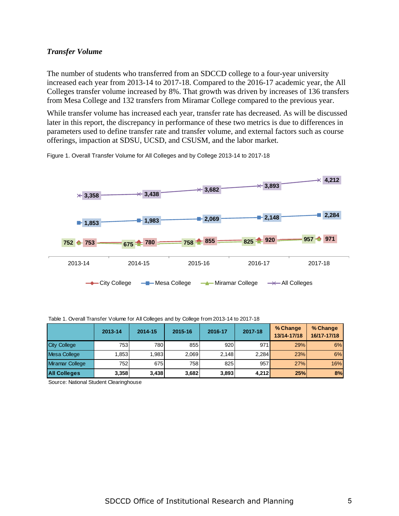## *Transfer Volume*

The number of students who transferred from an SDCCD college to a four-year university increased each year from 2013-14 to 2017-18. Compared to the 2016-17 academic year, the All Colleges transfer volume increased by 8%. That growth was driven by increases of 136 transfers from Mesa College and 132 transfers from Miramar College compared to the previous year.

While transfer volume has increased each year, transfer rate has decreased. As will be discussed later in this report, the discrepancy in performance of these two metrics is due to differences in parameters used to define transfer rate and transfer volume, and external factors such as course offerings, impaction at SDSU, UCSD, and CSUSM, and the labor market.





|                     | 2013-14 | 2014-15 | 2015-16 | 2016-17 | 2017-18 | % Change<br>13/14-17/18 | % Change<br>16/17-17/18 |
|---------------------|---------|---------|---------|---------|---------|-------------------------|-------------------------|
| <b>City College</b> | 753     | 780     | 855     | 920     | 971     | 29%                     | 6%                      |
| Mesa College        | 1,853   | .983    | 2.069   | 2.148   | 2.284   | 23%                     | 6%                      |
| Miramar College     | 752     | 675     | 758     | 825     | 957     | 27%                     | 16%                     |
| <b>All Colleges</b> | 3,358   | 3,438   | 3,682   | 3,893   | 4.212   | 25%                     | 8%                      |

|  |  | Table 1. Overall Transfer Volume for All Colleges and by College from 2013-14 to 2017-18 |
|--|--|------------------------------------------------------------------------------------------|
|  |  |                                                                                          |

Source: National Student Clearinghouse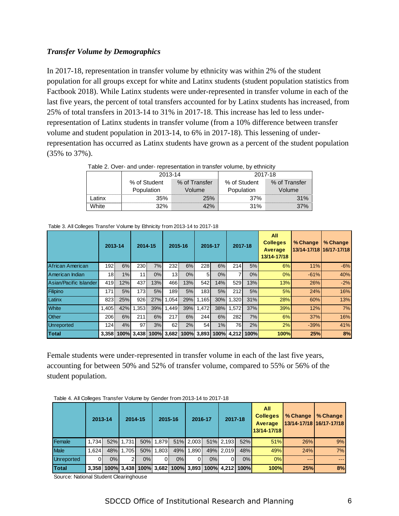## *Transfer Volume by Demographics*

In 2017-18, representation in transfer volume by ethnicity was within 2% of the student population for all groups except for white and Latinx students (student population statistics from Factbook 2018). While Latinx students were under-represented in transfer volume in each of the last five years, the percent of total transfers accounted for by Latinx students has increased, from 25% of total transfers in 2013-14 to 31% in 2017-18. This increase has led to less underrepresentation of Latinx students in transfer volume (from a 10% difference between transfer volume and student population in 2013-14, to 6% in 2017-18). This lessening of underrepresentation has occurred as Latinx students have grown as a percent of the student population (35% to 37%).

|        | 2013-14      |               | 2017-18      |               |  |  |  |
|--------|--------------|---------------|--------------|---------------|--|--|--|
|        | % of Student | % of Transfer | % of Student | % of Transfer |  |  |  |
|        | Population   | Volume        | Population   | Volume        |  |  |  |
| _atinx | 35%          | 25%           | 37%          | 31%           |  |  |  |
| White  | 32%          |               | 31%          |               |  |  |  |

Table 2. Over- and under- representation in transfer volume, by ethnicity

|                        | 2013-14          |     | 2014-15          |     | 2015-16    |     | 2016-17          |      | 2017-18 |      | All<br><b>Colleges</b><br>Average<br>13/14-17/18 | % Change | % Change |
|------------------------|------------------|-----|------------------|-----|------------|-----|------------------|------|---------|------|--------------------------------------------------|----------|----------|
| African American       | 192 <sub>l</sub> | 6%  | 230              | 7%  | 232        | 6%  | 228              | 6%   | 214     | 5%   | 6%                                               | 11%      | $-6%$    |
| American Indian        | 18 <sup>l</sup>  | 1%  | 11               | 0%  | 13         | 0%  | 51               | 0%   |         | 0%   | 0%                                               | $-61%$   | 40%      |
| Asian/Pacific Islander | 419              | 12% | 437              | 13% | 466        | 13% | 542              | 14%  | 529     | 13%  | 13%                                              | 26%      | $-2%$    |
| Filipino               | 171              | 5%  | 173 <sup>1</sup> | 5%  | 189        | 5%  | 183 <sup>l</sup> | 5%   | 212     | 5%   | 5%                                               | 24%      | 16%      |
| Latinx                 | 823              | 25% | 926              | 27% | 1,054      | 29% | 1,165            | 30%  | 1,320   | 31%  | 28%                                              | 60%      | 13%      |
| <b>White</b>           | 1.405 l          | 42% | 1.353            | 39% | 1.449      | 39% | 1.472            | 38%  | 1.572   | 37%  | 39%                                              | 12%      | 7%       |
| Other                  | 206              | 6%  | 211              | 6%  | 217        | 6%  | 244I             | 6%   | 282     | 7%   | 6%                                               | 37%      | 16%      |
| <b>Unreported</b>      | 124              | 4%  | 97               | 3%  | 62         | 2%  | 54               | 1%   | 76I     | 2%   | 2%                                               | $-39%$   | 41%      |
| Total                  | 3,358            |     | 100% 3,438       |     | 100% 3,682 |     | 100% 3,893       | 100% | 4.2121  | 100% | 100%                                             | 25%      | 8%       |

Table 3. All Colleges Transfer Volume by Ethnicity from 2013-14 to 2017-18

Female students were under-represented in transfer volume in each of the last five years, accounting for between 50% and 52% of transfer volume, compared to 55% or 56% of the student population.

|                   | 2013-14 |    |           | 2014-15 | 2015-16   |     | 2016-17   |       | 2017-18   |                                                        | All<br><b>Colleges</b><br>Average<br>13/14-17/18 | % Change<br>13/14-17/18 16/17-17/18 1 | % Change |
|-------------------|---------|----|-----------|---------|-----------|-----|-----------|-------|-----------|--------------------------------------------------------|--------------------------------------------------|---------------------------------------|----------|
| Female            | 1.734   |    | 52% 1.731 |         | 50% 1,879 |     | 51% 2,003 |       | 51% 2,193 | 52%                                                    | 51%                                              | 26%                                   | 9%       |
| <b>Male</b>       | 1.624l  |    | 48% 1.705 |         | 50% 1.803 | 49% | 1.890     |       | 49% 2.019 | 48%                                                    | 49%                                              | 24%                                   | 7%       |
| <b>Unreported</b> | ΩI      | 0% |           | 0%      |           | 0%  |           | $0\%$ |           | 0%                                                     | 0%                                               | $\frac{1}{2}$                         | $- - -$  |
| Total             |         |    |           |         |           |     |           |       |           | 3,358 100% 3,438 100% 3,682 100% 3,893 100% 4,212 100% | 100%                                             | 25%                                   | 8%       |

Table 4. All Colleges Transfer Volume by Gender from 2013-14 to 2017-18

Source: National Student Clearinghouse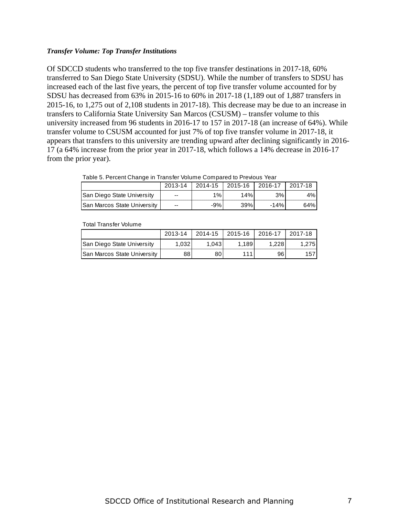## *Transfer Volume: Top Transfer Institutions*

Of SDCCD students who transferred to the top five transfer destinations in 2017-18, 60% transferred to San Diego State University (SDSU). While the number of transfers to SDSU has increased each of the last five years, the percent of top five transfer volume accounted for by SDSU has decreased from 63% in 2015-16 to 60% in 2017-18 (1,189 out of 1,887 transfers in 2015-16, to 1,275 out of 2,108 students in 2017-18). This decrease may be due to an increase in transfers to California State University San Marcos (CSUSM) – transfer volume to this university increased from 96 students in 2016-17 to 157 in 2017-18 (an increase of 64%). While transfer volume to CSUSM accounted for just 7% of top five transfer volume in 2017-18, it appears that transfers to this university are trending upward after declining significantly in 2016- 17 (a 64% increase from the prior year in 2017-18, which follows a 14% decrease in 2016-17 from the prior year).

|  | Table 5. Percent Change in Transfer Volume Compared to Previous Year |  |  |  |
|--|----------------------------------------------------------------------|--|--|--|
|  |                                                                      |  |  |  |

|                             | 2013-14                  |       | 2014-15 2015-16 2016-17 |        | 2017-18 |
|-----------------------------|--------------------------|-------|-------------------------|--------|---------|
| San Diego State University  | $-$                      | $1\%$ | 14%                     | 3%     | 4%I     |
| San Marcos State University | $\overline{\phantom{a}}$ | -9%1  | 39%                     | $-14%$ | 64%l    |

Total Transfer Volume

|                             | 2013-14            |        | 2014-15 2015-16 2016-17 |                    | $12017-18$ |
|-----------------------------|--------------------|--------|-------------------------|--------------------|------------|
| San Diego State University  | 1.032 <sub>1</sub> | 1.0431 | 1.189                   | 1.228 <sub>1</sub> | .2751      |
| San Marcos State University | 881                | 80     | 111                     | 96 <sub>1</sub>    | 1571       |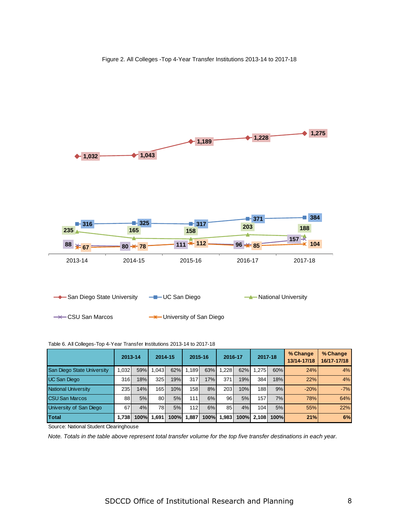

#### Table 6. All Colleges-Top 4-Year Transfer Institutions 2013-14 to 2017-18

|                            | 2013-14 |             | 2014-15 |      | 2015-16 |      | 2016-17 |      | 2017-18          |      | % Change<br>13/14-17/18 | % Change<br>16/17-17/18 |
|----------------------------|---------|-------------|---------|------|---------|------|---------|------|------------------|------|-------------------------|-------------------------|
| San Diego State University | 1,032   | 59%         | 1.043   | 62%  | 1.189   | 63%  | 1,228   | 62%  | 1,275            | 60%  | 24%                     | 4%                      |
| <b>UC San Diego</b>        | 316     | 18%         | 325     | 19%  | 317     | 17%  | 371     | 19%  | 384              | 18%  | 22%                     | 4%                      |
| National University        | 235     | 14%         | 165     | 10%  | 158     | 8%   | 203     | 10%  | 188 <sup>I</sup> | 9%   | $-20%$                  | $-7%$                   |
| <b>CSU San Marcos</b>      | 88      | 5%          | 80      | 5%   | 1111    | 6%   | 961     | 5%   | 157              | 7%   | 78%                     | 64%                     |
| University of San Diego    | 67      | 4%          | 78I     | 5%   | 112     | 6%   | 85 l    | 4%   | 104 <sup>1</sup> | 5%   | 55%                     | 22%                     |
| Total                      | 1.738   | <b>100%</b> | 1.691   | 100% | 1.887   | 100% | ا983.   | 100% | 2.108            | 100% | 21%                     | 6%                      |

Source: National Student Clearinghouse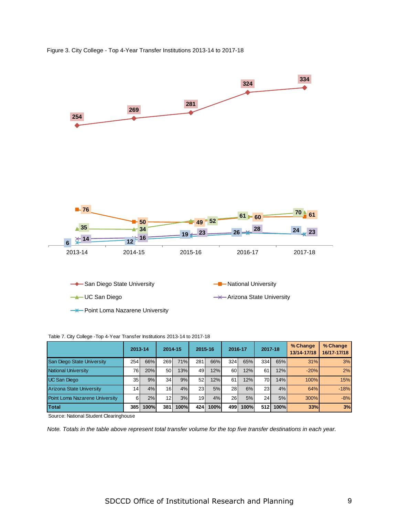



|                                 | 2013-14         |      | 2014-15         |      | 2015-16         |      | 2016-17 |      | 2017-18          |      | % Change<br>13/14-17/18 | % Change<br>16/17-17/18 |
|---------------------------------|-----------------|------|-----------------|------|-----------------|------|---------|------|------------------|------|-------------------------|-------------------------|
| San Diego State University      | 254             | 66%  | 269             | 71%  | 281             | 66%  | 324     | 65%  | 334 <sup>1</sup> | 65%  | 31%                     | 3%                      |
| <b>National University</b>      | 76 I            | 20%  | 50 <sup>1</sup> | 13%  | 49              | 12%  | 60 l    | 12%  | 61               | 12%  | $-20%$                  | 2%                      |
| UC San Diego                    | 35 <sub>1</sub> | 9%   | 34 <sub>1</sub> | 9%   | 52 <sub>1</sub> | 12%  | 61      | 12%  | 70               | 14%  | 100%                    | 15%                     |
| <b>Arizona State University</b> | 14 <sup>1</sup> | 4%   | 16 <sup>1</sup> | 4%   | 23 <sub>l</sub> | 5%   | 28I     | 6%   | 23 <sub>l</sub>  | 4%   | 64%                     | $-18%$                  |
| Point Loma Nazarene University  | 61              | 2%   | 12 <sub>l</sub> | 3%   | 19 <sup>1</sup> | 4%   | 26 I    | 5%   | 24 <sup>1</sup>  | 5%   | 300%                    | $-8%$                   |
| <b>Total</b>                    | 385             | 100% | 381             | 100% | 424             | 100% | 499     | 100% | <b>512</b>       | 100% | <b>33%</b>              | 3%                      |

Table 7. City College -Top 4-Year Transfer Institutions 2013-14 to 2017-18

Source: National Student Clearinghouse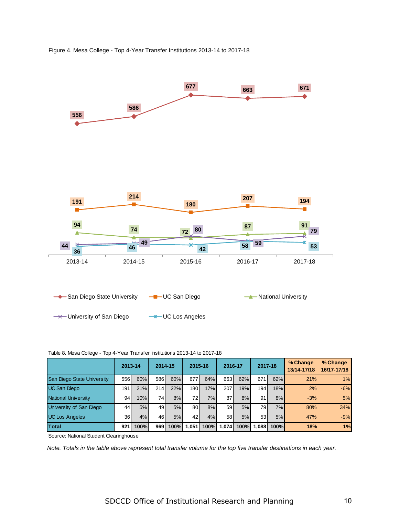



#### Table 8. Mesa College - Top 4-Year Transfer Institutions 2013-14 to 2017-18

|                                   | 2013-14 |      | 2014-15 |      | 2015-16          |      | 2016-17         |      | 2017-18         |      | % Change<br>13/14-17/18 | % Change<br>16/17-17/18 |
|-----------------------------------|---------|------|---------|------|------------------|------|-----------------|------|-----------------|------|-------------------------|-------------------------|
| <b>San Diego State University</b> | 556     | 60%  | 586     | 60%  | 677              | 64%  | 663I            | 62%  | 671             | 62%  | 21%                     | 1%                      |
| UC San Diego                      | 191     | 21%  | 214     | 22%  | 180 <sup>1</sup> | 17%  | 207             | 19%  | 194             | 18%  | 2%                      | $-6%$                   |
| National University               | 94      | 10%  | 74      | 8%   | 72I              | 7%1  | 87              | 8%   | 91              | 8%   | $-3%$                   | 5%                      |
| University of San Diego           | 44      | 5%   | 49      | 5%   | 80               | 8%   | 59 <sub>l</sub> | 5%   | 79 I            | 7%   | 80%                     | 34%                     |
| <b>UC Los Angeles</b>             | 36 l    | 4%   | 46      | 5%   | 42               | 4%   | 58 I            | 5%   | 53 <sub>1</sub> | 5%   | 47%                     | $-9%$                   |
| <b>Total</b>                      | 921     | 100% | 969     | 100% | 1.051            | 100% | 1.074           | 100% | 1.088           | 100% | 18%                     | 1%                      |

Source: National Student Clearinghouse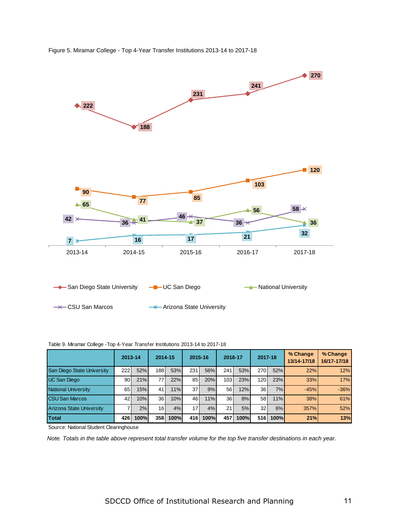

Figure 5. Miramar College - Top 4-Year Transfer Institutions 2013-14 to 2017-18

|  |  |  | Table 9. Miramar College - Top 4-Year Transfer Institutions 2013-14 to 2017-18 |
|--|--|--|--------------------------------------------------------------------------------|

|                            | 2013-14 |      | 2014-15         |      | 2015-16         |      | 2016-17          |      | 2017-18         |             | % Change<br>13/14-17/18 | % Change<br>16/17-17/18 |
|----------------------------|---------|------|-----------------|------|-----------------|------|------------------|------|-----------------|-------------|-------------------------|-------------------------|
| San Diego State University | 222     | 52%  | 188I            | 53%  | 231             | 56%  | 241              | 53%  | 270             | 52%         | 22%                     | 12%                     |
| UC San Diego               | 90 l    | 21%  | 77 <sub>1</sub> | 22%  | 85I             | 20%  | 103 <sub>l</sub> | 23%  | 120             | 23%         | 33%                     | 17%                     |
| National University        | 65      | 15%  | 41 <sup>1</sup> | 11%  | 37 <sup>1</sup> | 9%   | 56               | 12%  | 36 <sup>l</sup> | 7%          | $-45%$                  | $-36%$                  |
| <b>CSU San Marcos</b>      | 42 l    | 10%  | 36 <sup>1</sup> | 10%  | 46              | 11%  | 36 <sup>1</sup>  | 8%   | 58              | 11%         | 38%                     | 61%                     |
| Arizona State University   |         | 2%   | 16I             | 4%   | 17 <sup>1</sup> | 4%   | 21               | 5%   | 32              | 6%          | 357%                    | 52%                     |
| Total                      | 426     | 100% | <b>3581</b>     | 100% | 416I            | 100% | 457              | 100% | 516             | <b>100%</b> | 21%                     | 13%                     |

Source: National Student Clearinghouse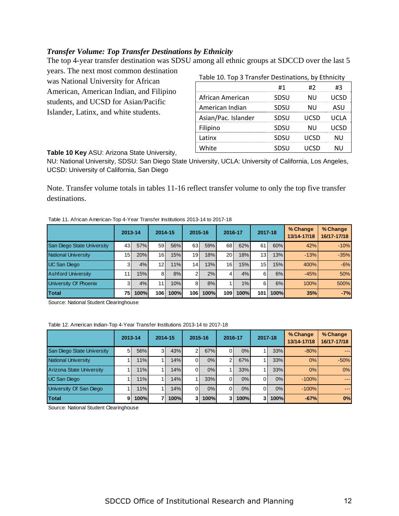## *Transfer Volume: Top Transfer Destinations by Ethnicity*

The top 4-year transfer destination was SDSU among all ethnic groups at SDCCD over the last 5

years. The next most common destination was National University for African American, American Indian, and Filipino students, and UCSD for Asian/Pacific Islander, Latinx, and white students.

| Table 10. Top 3 Transfer Destinations, by Ethnicity |  |  |  |
|-----------------------------------------------------|--|--|--|
|-----------------------------------------------------|--|--|--|

|                     | #1   | #7    | #3   |
|---------------------|------|-------|------|
| African American    | SDSU | NU    |      |
| American Indian     | SDSU | NU    | ASII |
| Asian/Pac. Islander | SDSU | LICSD |      |
| Filipino            | SDSU | NU    |      |
| Latinx              | SDSU | LICSD |      |
| White               | SDSU |       |      |

**Table 10 Key** ASU: Arizona State University,

NU: National University, SDSU: San Diego State University, UCLA: University of California, Los Angeles, UCSD: University of California, San Diego

Note. Transfer volume totals in tables 11-16 reflect transfer volume to only the top five transfer destinations.

|  | Table 11. African American-Top 4-Year Transfer Institutions 2013-14 to 2017-18 |  |  |
|--|--------------------------------------------------------------------------------|--|--|
|  |                                                                                |  |  |

|                            | 2013-14         |      | 2014-15         |      | 2015-16         |      | 2016-17          |      | 2017-18         |             | % Change<br>13/14-17/18 | % Change<br>16/17-17/18 |
|----------------------------|-----------------|------|-----------------|------|-----------------|------|------------------|------|-----------------|-------------|-------------------------|-------------------------|
| San Diego State University | 43              | 57%  | 59              | 56%  | 63              | 59%  | 68               | 62%  | 61              | 60%         | 42%                     | $-10%$                  |
| National University        | 15 <sub>1</sub> | 20%  | 16 <sup>1</sup> | 15%  | 19 <sup>l</sup> | 18%  | 20 l             | 18%  | 13 <sub>l</sub> | 13%         | $-13%$                  | $-35%$                  |
| <b>UC</b> San Diego        | 3               | 4%   | 12 <sub>l</sub> | 11%  | 14              | 13%  | 16 <sup>1</sup>  | 15%  | 15 <sub>l</sub> | 15%         | 400%                    | $-6%$                   |
| <b>Ashford University</b>  | 11 <sub>1</sub> | 15%  | 81              | 8%   | $\overline{2}$  | 2%   | 4                | 4%   | 61              | 6%          | $-45%$                  | 50%                     |
| University Of Phoenix      | 31              | 4%   | 11              | 10%  | 81              | 8%   |                  | 1%   | 6               | 6%          | 100%                    | 500%                    |
| Total                      | 75              | 100% | 106l            | 100% | <b>106</b>      | 100% | 109 <sub>1</sub> | 100% | 101             | <b>100%</b> | 35%                     | $-7%$                   |

Source: National Student Clearinghouse

#### Table 12. American Indian-Top 4-Year Transfer Institutions 2013-14 to 2017-18

|                                 | 2013-14 |      | 2014-15 |      |               | 2015-16 | 2016-17        |      | 2017-18 |      | % Change<br>13/14-17/18 | % Change<br>16/17-17/18                                                                                                                                                                                                                                                                                                                                                                                                                                                    |
|---------------------------------|---------|------|---------|------|---------------|---------|----------------|------|---------|------|-------------------------|----------------------------------------------------------------------------------------------------------------------------------------------------------------------------------------------------------------------------------------------------------------------------------------------------------------------------------------------------------------------------------------------------------------------------------------------------------------------------|
| San Diego State University      | 5       | 56%  | 31      | 43%  | $\mathcal{P}$ | 67%     |                | 0%   |         | 33%  | $-80%$                  | $---$                                                                                                                                                                                                                                                                                                                                                                                                                                                                      |
| National University             |         | 11%  |         | 14%  | ΟI            | 0%      | $\overline{2}$ | 67%  |         | 33%  | 0%                      | $-50%$                                                                                                                                                                                                                                                                                                                                                                                                                                                                     |
| <b>Arizona State University</b> |         | 11%  |         | 14%  | $\Omega$      | 0%      |                | 33%  |         | 33%  | 0%                      | 0%                                                                                                                                                                                                                                                                                                                                                                                                                                                                         |
| <b>UC San Diego</b>             |         | 11%  |         | 14%  |               | 33%     | ΩI             | 0%   |         | 0%   | $-100%$                 | ----                                                                                                                                                                                                                                                                                                                                                                                                                                                                       |
| University Of San Diego         |         | 11%  |         | 14%  | $\Omega$      | 0%      |                | 0%   | ΩL      | 0%   | $-100%$                 | $\frac{1}{2} \left( \frac{1}{2} \right) \left( \frac{1}{2} \right) \left( \frac{1}{2} \right) \left( \frac{1}{2} \right) \left( \frac{1}{2} \right) \left( \frac{1}{2} \right) \left( \frac{1}{2} \right) \left( \frac{1}{2} \right) \left( \frac{1}{2} \right) \left( \frac{1}{2} \right) \left( \frac{1}{2} \right) \left( \frac{1}{2} \right) \left( \frac{1}{2} \right) \left( \frac{1}{2} \right) \left( \frac{1}{2} \right) \left( \frac{1}{2} \right) \left( \frac$ |
| Total                           | 9       | 100% |         | 100% | 31            | 100%    | 31             | 100% | 3I      | 100% | $-67%$                  | 0%                                                                                                                                                                                                                                                                                                                                                                                                                                                                         |

Source: National Student Clearinghouse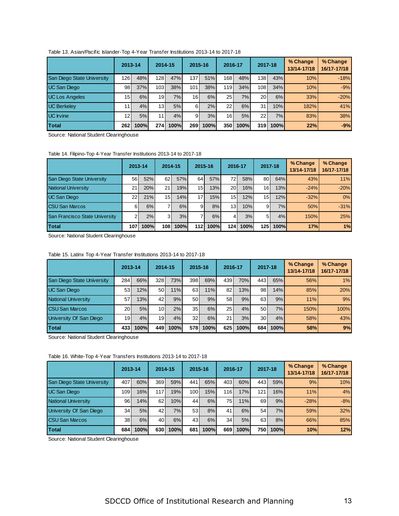|                            | 2013-14         |      | 2014-15          |      | 2015-16         |      | 2016-17         |      | 2017-18   |             | % Change<br>13/14-17/18 | % Change<br>16/17-17/18 |
|----------------------------|-----------------|------|------------------|------|-----------------|------|-----------------|------|-----------|-------------|-------------------------|-------------------------|
| San Diego State University | 126 l           | 48%  | 128              | 47%  | 137             | 51%  | 1681            | 48%  | 138       | 43%         | 10%                     | $-18%$                  |
| <b>UC San Diego</b>        | 98              | 37%  | 103 <sup>l</sup> | 38%  | 101             | 38%  | 119I            | 34%  | 108       | 34%         | 10%                     | $-9%$                   |
| <b>UC Los Angeles</b>      | 15 <sub>h</sub> | 6%   | 19 <sup>l</sup>  | 7%   | 16 <sup>1</sup> | 6%   | 25              | 7%   | <b>20</b> | 6%          | 33%                     | $-20%$                  |
| <b>UC Berkeley</b>         |                 | 4%   | 13 <sup>l</sup>  | 5%   | 61              | 2%   | 221             | 6%   | 31        | 10%         | 182%                    | 41%                     |
| <b>UC</b> Irvine           | 12 <sub>1</sub> | 5%   | 111              | 4%   | 91              | 3%   | 16 <sup>1</sup> | 5%   | 22        | 7%          | 83%                     | 38%                     |
| Total                      | 2621            | 100% | 274 I            | 100% | 269             | 100% | 350             | 100% | 319       | <b>100%</b> | 22%                     | $-9%$                   |

Table 13. Asian/Pacific Islander-Top 4-Year Transfer Institutions 2013-14 to 2017-18

Source: National Student Clearinghouse

Table 14. Filipino-Top 4-Year Transfer Institutions 2013-14 to 2017-18

|                                | 2013-14         |      | 2014-15         |             | 2015-16          |      | 2016-17          |      | 2017-18         |      | % Change<br>13/14-17/18 | % Change<br>16/17-17/18 |
|--------------------------------|-----------------|------|-----------------|-------------|------------------|------|------------------|------|-----------------|------|-------------------------|-------------------------|
| San Diego State University     | 56 l            | 52%  | 62              | 57%         | 64               | 57%  | 72I              | 58%  | 80 l            | 64%  | 43%                     | 11%                     |
| <b>National University</b>     | 21 <sub>1</sub> | 20%  | 21              | 19%         | 15 <sup>1</sup>  | 13%  | 20 <sup>1</sup>  | 16%  | 16 <sup>1</sup> | 13%  | $-24%$                  | $-20%$                  |
| UC San Diego                   | 22 <sub>1</sub> | 21%  | 15 <sub>h</sub> | 14%         | 171              | 15%  | 15 <sup>1</sup>  | 12%  | 15              | 12%  | $-32%$                  | 0%                      |
| <b>CSU San Marcos</b>          | 61              | 6%   |                 | 6%          | 9                | 8%   | 13 <sup>1</sup>  | 10%  | 9 <sub>l</sub>  | 7%   | 50%                     | $-31%$                  |
| San Francisco State University |                 | 2%   | 3I              | 3%          |                  | 6%   | 41               | 3%   | 51              | 4%   | 150%                    | 25%                     |
| Total                          | 107             | 100% | 108 I           | <b>100%</b> | 112 <sub>h</sub> | 100% | 124 <sup>1</sup> | 100% | 125 I           | 100% | 17%                     | 1%                      |

Source: National Student Clearinghouse

Table 15. Latinx Top 4-Year Transfer Institutions 2013-14 to 2017-18

|                            | 2013-14         |      | 2014-15         |      | 2015-16         |      | 2016-17         |      | 2017-18         |      | % Change<br>13/14-17/18 | % Change<br>16/17-17/18 |
|----------------------------|-----------------|------|-----------------|------|-----------------|------|-----------------|------|-----------------|------|-------------------------|-------------------------|
| San Diego State University | 284             | 66%  | 328             | 73%  | 398             | 69%  | 439             | 70%  | 443             | 65%  | 56%                     | 1%                      |
| UC San Diego               | 53              | 12%  | 50              | 11%  | 63I             | 11%  | 82              | 13%  | 98              | 14%  | 85%                     | 20%                     |
| National University        | 57              | 13%  | 42I             | 9%   | 50              | 9%   | 58 <sub>l</sub> | 9%   | 63              | 9%   | 11%                     | 9%                      |
| <b>CSU San Marcos</b>      | 20 <sub>l</sub> | 5%   | 10 <sup>1</sup> | 2%   | 35 <sub>1</sub> | 6%   | 25 <sub>1</sub> | 4%   | 50 <sub>l</sub> | 7%   | 150%                    | 100%                    |
| University Of San Diego    | 19              | 4%   | 19 <sup>l</sup> | 4%   | 32 <sub>l</sub> | 6%   | 21              | 3%   | 30 <sup>1</sup> | 4%   | 58%                     | 43%                     |
| <b>Total</b>               | 433             | 100% | 449 I           | 100% | 578I            | 100% | 625             | 100% | 684             | 100% | 58%                     | 9%                      |

Source: National Student Clearinghouse

Table 16. White-Top 4-Year Transfers Institutions 2013-14 to 2017-18

|                                   | 2013-14         |      | 2014-15         |      | 2015-16          |      | 2016-17 |             | 2017-18 |             | % Change<br>13/14-17/18 | % Change<br>16/17-17/18 |
|-----------------------------------|-----------------|------|-----------------|------|------------------|------|---------|-------------|---------|-------------|-------------------------|-------------------------|
| <b>San Diego State University</b> | 407             | 60%  | 369I            | 59%  | 441              | 65%  | 403     | 60%         | 443     | 59%         | 9%                      | 10%                     |
| <b>UC San Diego</b>               | 109             | 16%  | 117 <b>1</b>    | 19%  | 100 <sub>h</sub> | 15%  | 116     | 17%         | 121     | 16%         | 11%                     | 4%                      |
| National University               | 96 I            | 14%  | 62 <sub>l</sub> | 10%  | 44               | 6%   | 75      | 11%         | 69      | 9%          | $-28%$                  | $-8%$                   |
| University Of San Diego           | 34              | 5%   | 42              | 7%   | 53               | 8%   | 41      | 6%          | 54      | 7%          | 59%                     | 32%                     |
| <b>CSU San Marcos</b>             | 38 <sup>1</sup> | 6%   | 40              | 6%   | 43               | 6%   | 34      | 5%          | 63I     | 8%          | 66%                     | 85%                     |
| Total                             | 684             | 100% | 630l            | 100% | 681              | 100% | 669     | <b>100%</b> | 750     | <b>100%</b> | 10%                     | 12%                     |

Source: National Student Clearinghouse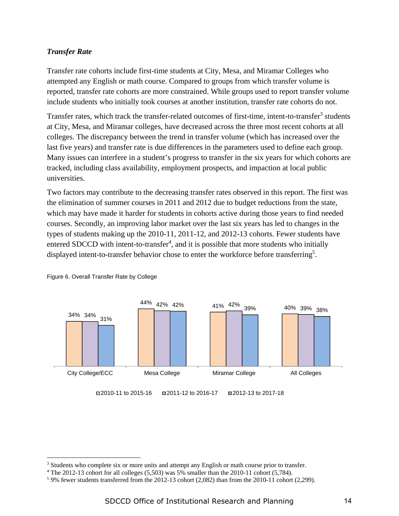## *Transfer Rate*

Transfer rate cohorts include first-time students at City, Mesa, and Miramar Colleges who attempted any English or math course. Compared to groups from which transfer volume is reported, transfer rate cohorts are more constrained. While groups used to report transfer volume include students who initially took courses at another institution, transfer rate cohorts do not.

Transfer rates, which track the transfer-related outcomes of first-time, intent-to-transfer<sup>3</sup> students at City, Mesa, and Miramar colleges, have decreased across the three most recent cohorts at all colleges. The discrepancy between the trend in transfer volume (which has increased over the last five years) and transfer rate is due differences in the parameters used to define each group. Many issues can interfere in a student's progress to transfer in the six years for which cohorts are tracked, including class availability, employment prospects, and impaction at local public universities.

Two factors may contribute to the decreasing transfer rates observed in this report. The first was the elimination of summer courses in 2011 and 2012 due to budget reductions from the state, which may have made it harder for students in cohorts active during those years to find needed courses. Secondly, an improving labor market over the last six years has led to changes in the types of students making up the 2010-11, 2011-12, and 2012-13 cohorts. Fewer students have entered SDCCD with intent-to-transfer<sup>4</sup>, and it is possible that more students who initially displayed intent-to-transfer behavior chose to enter the workforce before transferring<sup>5</sup>.



Figure 6. Overall Transfer Rate by College

 $\overline{a}$ 

<sup>&</sup>lt;sup>3</sup> Students who complete six or more units and attempt any English or math course prior to transfer.<br><sup>4</sup> The 2012-13 cobort for all colleges (5.503) was 5% smaller than the 2010-11 cobort (5.784)

The 2012-13 cohort for all colleges (5,503) was 5% smaller than the 2010-11 cohort (5,784).

 $59\%$  fewer students transferred from the 2012-13 cohort (2,082) than from the 2010-11 cohort (2,299).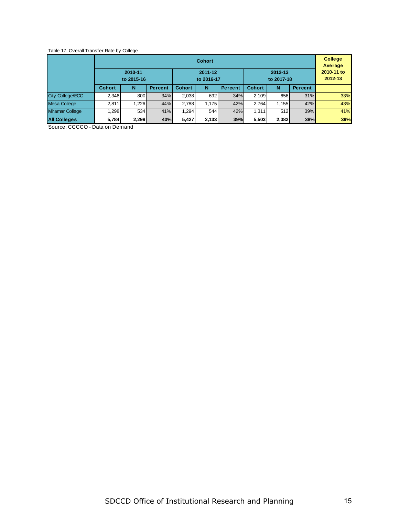#### Table 17. Overall Transfer Rate by College

|                         |               |                       |                |               | <b>Cohort</b>         |                |               |                       |                | <b>College</b><br>Average |
|-------------------------|---------------|-----------------------|----------------|---------------|-----------------------|----------------|---------------|-----------------------|----------------|---------------------------|
|                         |               | 2010-11<br>to 2015-16 |                |               | 2011-12<br>to 2016-17 |                |               | 2010-11 to<br>2012-13 |                |                           |
|                         | <b>Cohort</b> | N                     | <b>Percent</b> | <b>Cohort</b> | N                     | <b>Percent</b> | <b>Cohort</b> | N                     | <b>Percent</b> |                           |
| <b>City College/ECC</b> | 2.346         | 800                   | 34%            | 2,038         | 692                   | 34%            | 2.109         | 656                   | 31%            | 33%                       |
| Mesa College            | 2.811         | 1.226                 | 44%            | 2.788         | 1.175                 | 42%            | 2.764         | 1.155                 | 42%            | 43%                       |
| <b>Miramar College</b>  | ا298. ا       | 534                   | 41%            | 1.294         | 544                   | 42%            | 1.311         | 512                   | 39%            | 41%                       |
| <b>All Colleges</b>     | 5,784         | 2,299                 | 40%            | 5,427         | 2,133                 | 39%            | 5,503         | 2,082                 | 38%            | 39%                       |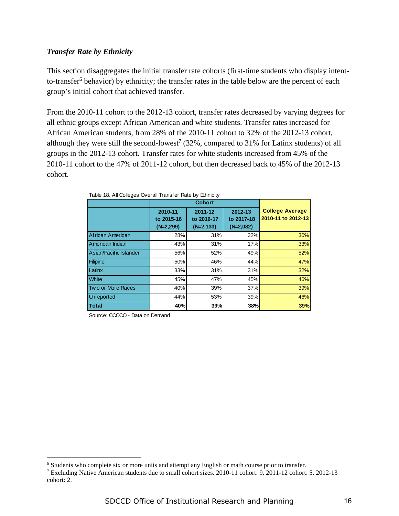## *Transfer Rate by Ethnicity*

This section disaggregates the initial transfer rate cohorts (first-time students who display intentto-transfer<sup>6</sup> behavior) by ethnicity; the transfer rates in the table below are the percent of each group's initial cohort that achieved transfer.

From the 2010-11 cohort to the 2012-13 cohort, transfer rates decreased by varying degrees for all ethnic groups except African American and white students. Transfer rates increased for African American students, from 28% of the 2010-11 cohort to 32% of the 2012-13 cohort, although they were still the second-lowest<sup>7</sup> (32%, compared to 31% for Latinx students) of all groups in the 2012-13 cohort. Transfer rates for white students increased from 45% of the 2010-11 cohort to the 47% of 2011-12 cohort, but then decreased back to 45% of the 2012-13 cohort.

|                        | 2010-11<br>to 2015-16<br>$(N=2,299)$ | 2011-12<br>to 2016-17<br>$(N=2, 133)$ | 2012-13<br>to 2017-18<br>$(N=2,082)$ | <b>College Average</b><br>2010-11 to 2012-13 |
|------------------------|--------------------------------------|---------------------------------------|--------------------------------------|----------------------------------------------|
| African American       | 28%                                  | 31%                                   | 32%                                  | 30%                                          |
| American Indian        | 43%                                  | 31%                                   | 17%                                  | 33%                                          |
| Asian/Pacific Islander | 56%                                  | 52%                                   | 49%                                  | 52%                                          |
| Filipino               | 50%                                  | 46%                                   | 44%                                  | 47%                                          |
| Latinx                 | 33%                                  | 31%                                   | 31%                                  | 32%                                          |
| <b>White</b>           | 45%                                  | 47%                                   | 45%                                  | 46%                                          |
| Two or More Races      | 40%                                  | 39%                                   | 37%                                  | 39%                                          |
| <b>Unreported</b>      | 44%                                  | 53%                                   | 39%                                  | 46%                                          |
| <b>Total</b>           | 40%                                  | 39%                                   | 38%                                  | 39%                                          |

Table 18. All Colleges Overall Transfer Rate by Ethnicity

Source: CCCCO - Data on Demand

 $\overline{a}$ 

<sup>&</sup>lt;sup>6</sup> Students who complete six or more units and attempt any English or math course prior to transfer.<br><sup>7</sup> Excluding Native American students due to small cobort sizes 2010-11 cobort: 9, 2011-12 cobort:

Excluding Native American students due to small cohort sizes. 2010-11 cohort: 9. 2011-12 cohort: 5. 2012-13 cohort: 2.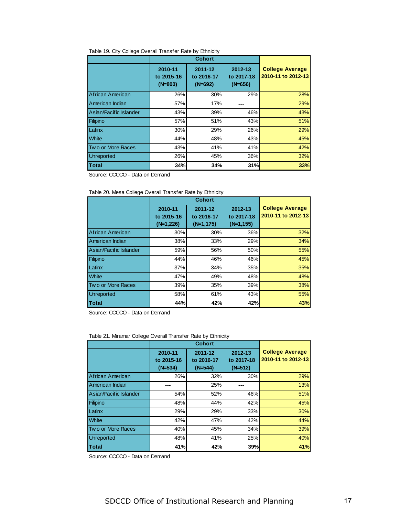|                        | <b>Cohort</b>                      |                                    |                                    |                                              |
|------------------------|------------------------------------|------------------------------------|------------------------------------|----------------------------------------------|
|                        | 2010-11<br>to 2015-16<br>$(N=800)$ | 2011-12<br>to 2016-17<br>$(N=692)$ | 2012-13<br>to 2017-18<br>$(N=656)$ | <b>College Average</b><br>2010-11 to 2012-13 |
| African American       | 26%                                | 30%                                | 29%                                | 28%                                          |
| American Indian        | 57%                                | 17%                                |                                    | 29%                                          |
| Asian/Pacific Islander | 43%                                | 39%                                | 46%                                | 43%                                          |
| Filipino               | 57%                                | 51%                                | 43%                                | 51%                                          |
| Latinx                 | 30%                                | 29%                                | 26%                                | 29%                                          |
| <b>White</b>           | 44%                                | 48%                                | 43%                                | 45%                                          |
| Two or More Races      | 43%                                | 41%                                | 41%                                | 42%                                          |
| <b>Unreported</b>      | 26%                                | 45%                                | 36%                                | 32%                                          |
| <b>Total</b>           | 34%                                | 34%                                | 31%                                | 33%                                          |

Source: CCCCO - Data on Demand

Table 20. Mesa College Overall Transfer Rate by Ethnicity

|                        | 2010-11<br>to 2015-16<br>$(N=1,226)$ | 2011-12<br>to 2016-17<br>$(N=1,175)$ | 2012-13<br>to 2017-18<br>$(N=1, 155)$ | <b>College Average</b><br>2010-11 to 2012-13 |
|------------------------|--------------------------------------|--------------------------------------|---------------------------------------|----------------------------------------------|
| African American       | 30%                                  | 30%                                  | 36%                                   | 32%                                          |
| American Indian        | 38%                                  | 33%                                  | 29%                                   | 34%                                          |
| Asian/Pacific Islander | 59%                                  | 56%                                  | 50%                                   | 55%                                          |
| Filipino               | 44%                                  | 46%                                  | 46%                                   | 45%                                          |
| Latinx                 | 37%                                  | 34%                                  | 35%                                   | 35%                                          |
| White                  | 47%                                  | 49%                                  | 48%                                   | 48%                                          |
| Two or More Races      | 39%                                  | 35%                                  | 39%                                   | 38%                                          |
| <b>Unreported</b>      | 58%                                  | 61%                                  | 43%                                   | 55%                                          |
| <b>Total</b>           | 44%                                  | 42%                                  | 42%                                   | 43%                                          |

Source: CCCCO - Data on Demand

Table 21. Miramar College Overall Transfer Rate by Ethnicity

|                        | 2010-11<br>to 2015-16<br>$(N=534)$ | 2011-12<br>to 2016-17<br>$(N=544)$ | 2012-13<br>to 2017-18<br>$(N=512)$ | <b>College Average</b><br>2010-11 to 2012-13 |
|------------------------|------------------------------------|------------------------------------|------------------------------------|----------------------------------------------|
| African American       | 26%                                | 32%                                | 30%                                | 29%                                          |
| American Indian        |                                    | 25%                                |                                    | 13%                                          |
| Asian/Pacific Islander | 54%                                | 52%                                | 46%                                | 51%                                          |
| Filipino               | 48%                                | 44%                                | 42%                                | 45%                                          |
| Latinx                 | 29%                                | 29%                                | 33%                                | 30%                                          |
| White                  | 42%                                | 47%                                | 42%                                | 44%                                          |
| Two or More Races      | 40%                                | 45%                                | 34%                                | 39%                                          |
| <b>Unreported</b>      | 48%                                | 41%                                | 25%                                | 40%                                          |
| <b>Total</b>           | 41%                                | 42%                                | 39%                                | 41%                                          |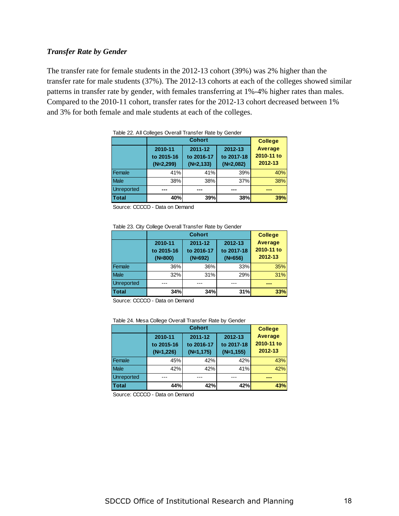## *Transfer Rate by Gender*

The transfer rate for female students in the 2012-13 cohort (39%) was 2% higher than the transfer rate for male students (37%). The 2012-13 cohorts at each of the colleges showed similar patterns in transfer rate by gender, with females transferring at 1%-4% higher rates than males. Compared to the 2010-11 cohort, transfer rates for the 2012-13 cohort decreased between 1% and 3% for both female and male students at each of the colleges.

|                   | <b>Cohort</b>                        |                                       |                                      | <b>College</b>                   |
|-------------------|--------------------------------------|---------------------------------------|--------------------------------------|----------------------------------|
|                   | 2010-11<br>to 2015-16<br>$(N=2,299)$ | 2011-12<br>to 2016-17<br>$(N=2, 133)$ | 2012-13<br>to 2017-18<br>$(N=2,082)$ | Average<br>2010-11 to<br>2012-13 |
| Female            | 41%                                  | 41%                                   | 39%                                  | 40%                              |
| <b>Male</b>       | 38%                                  | 38%                                   | 37%                                  | 38%                              |
| <b>Unreported</b> |                                      |                                       |                                      |                                  |
| <b>Total</b>      | 40%                                  | 39%                                   | 38%                                  | 39%                              |

| Table 22. All Colleges Overall Transfer Rate by Gender |  |  |
|--------------------------------------------------------|--|--|
|                                                        |  |  |

Source: CCCCO - Data on Demand

Table 23. City College Overall Transfer Rate by Gender

|                   |                                    | <b>College</b>                     |                                    |                                         |
|-------------------|------------------------------------|------------------------------------|------------------------------------|-----------------------------------------|
|                   | 2010-11<br>to 2015-16<br>$(N=800)$ | 2011-12<br>to 2016-17<br>$(N=692)$ | 2012-13<br>to 2017-18<br>$(N=656)$ | <b>Average</b><br>2010-11 to<br>2012-13 |
| Female            | 36%                                | 36%                                | 33%                                | 35%                                     |
| Male              | 32%                                | 31%                                | 29%                                | 31%                                     |
| <b>Unreported</b> |                                    |                                    |                                    |                                         |
| <b>Total</b>      | 34%                                | 34%                                | 31%                                | 33%                                     |

Source: CCCCO - Data on Demand

|                   |                                      | <b>College</b>                        |                                       |                                  |
|-------------------|--------------------------------------|---------------------------------------|---------------------------------------|----------------------------------|
|                   | 2010-11<br>to 2015-16<br>$(N=1,226)$ | 2011-12<br>to 2016-17<br>$(N=1, 175)$ | 2012-13<br>to 2017-18<br>$(N=1, 155)$ | Average<br>2010-11 to<br>2012-13 |
| Female            | 45%                                  | 42%                                   | 42%                                   | 43%                              |
| <b>Male</b>       | 42%                                  | 42%                                   | 41%                                   | 42%                              |
| <b>Unreported</b> |                                      |                                       |                                       |                                  |
| <b>Total</b>      | 44%                                  | 42%                                   | 42%                                   | 43%                              |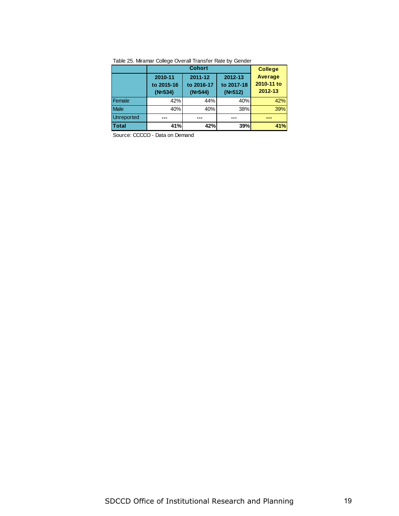|                   | <b>Cohort</b>                      |                                    |                                    | <b>College</b>                          |
|-------------------|------------------------------------|------------------------------------|------------------------------------|-----------------------------------------|
|                   | 2010-11<br>to 2015-16<br>$(N=534)$ | 2011-12<br>to 2016-17<br>$(N=544)$ | 2012-13<br>to 2017-18<br>$(N=512)$ | <b>Average</b><br>2010-11 to<br>2012-13 |
| Female            | 42%                                | 44%                                | 40%                                | 42%                                     |
| <b>Male</b>       | 40%                                | 40%                                | 38%                                | 39%                                     |
| <b>Unreported</b> | ---                                |                                    | ---                                |                                         |
| Total             | 41%                                | 42%                                | 39%                                | 41%                                     |

Table 25. Miramar College Overall Transfer Rate by Gender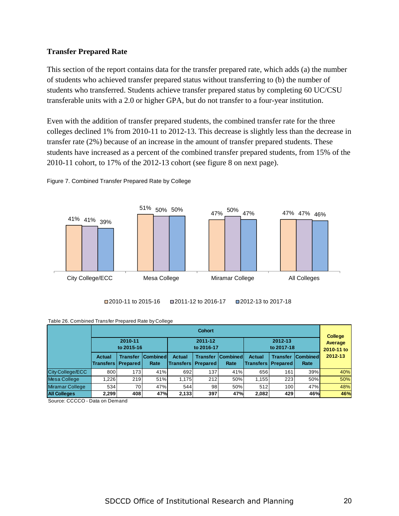## **Transfer Prepared Rate**

This section of the report contains data for the transfer prepared rate, which adds (a) the number of students who achieved transfer prepared status without transferring to (b) the number of students who transferred. Students achieve transfer prepared status by completing 60 UC/CSU transferable units with a 2.0 or higher GPA, but do not transfer to a four-year institution.

Even with the addition of transfer prepared students, the combined transfer rate for the three colleges declined 1% from 2010-11 to 2012-13. This decrease is slightly less than the decrease in transfer rate (2%) because of an increase in the amount of transfer prepared students. These students have increased as a percent of the combined transfer prepared students, from 15% of the 2010-11 cohort, to 17% of the 2012-13 cohort (see figure 8 on next page).





■2010-11 to 2015-16 ■2011-12 to 2016-17 ■2012-13 to 2017-18

| Table 26. Combined Transfer Prepared Rate by College |
|------------------------------------------------------|
|                                                      |

|                     | <b>Cohort</b> |                                                  |                   |                                                | <b>College</b>        |                         |                                              |                       |                         |                       |
|---------------------|---------------|--------------------------------------------------|-------------------|------------------------------------------------|-----------------------|-------------------------|----------------------------------------------|-----------------------|-------------------------|-----------------------|
|                     |               | 2010-11<br>to 2015-16                            |                   |                                                | 2011-12<br>to 2016-17 |                         |                                              | 2012-13<br>to 2017-18 |                         | Average<br>2010-11 to |
|                     | Actual        | <b>Transfer</b><br><b>Transfers   Prepared  </b> | Combined <br>Rate | <b>Actual</b><br><b>Transfers   Prepared  </b> | <b>Transfer</b>       | <b>Combined</b><br>Rate | <b>Actual</b><br><b>Transfers   Prepared</b> | <b>Transfer</b>       | <b>Combined</b><br>Rate | 2012-13               |
| City College/ECC    | 800           | 173                                              | 41%               | 692                                            | 137                   | 41%                     | 656                                          | 161                   | 39%                     | 40%                   |
| <b>Mesa College</b> | 1.226         | 219                                              | 51%               | 1.175                                          | 212                   | 50%                     | 1,155                                        | 223                   | 50%                     | 50%                   |
| Miramar College     | 534           | 70                                               | 47%               | 544                                            | 98                    | 50%                     | 512                                          | 100 <sub>1</sub>      | 47%                     | 48%                   |
| <b>All Colleges</b> | 2,299         | 408                                              | 47%               | 2,133                                          | 397                   | 47%                     | 2,082                                        | 429                   | 46%                     | 46%                   |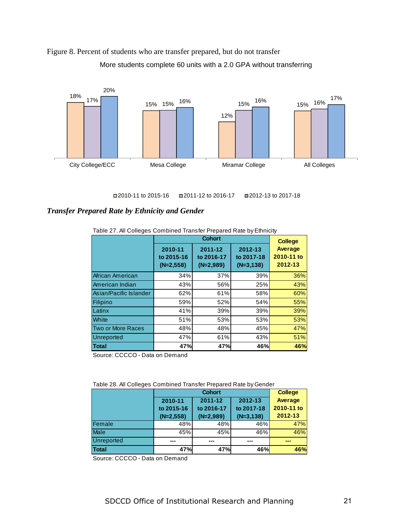



2010-11 to 2015-16 2011-12 to 2016-17 2012-13 to 2017-18

## *Transfer Prepared Rate by Ethnicity and Gender*

|                          |                                      | <b>College</b>                       |                                      |                                  |
|--------------------------|--------------------------------------|--------------------------------------|--------------------------------------|----------------------------------|
|                          | 2010-11<br>to 2015-16<br>$(N=2,558)$ | 2011-12<br>to 2016-17<br>$(N=2,989)$ | 2012-13<br>to 2017-18<br>$(N=3,138)$ | Average<br>2010-11 to<br>2012-13 |
| African American         | 34%                                  | 37%                                  | 39%                                  | 36%                              |
| American Indian          | 43%                                  | 56%                                  | 25%                                  | 43%                              |
| Asian/Pacific Islander   | 62%                                  | 61%                                  | 58%                                  | 60%                              |
| <b>Filipino</b>          | 59%                                  | 52%                                  | 54%                                  | 55%                              |
| Latinx                   | 41%                                  | 39%                                  | 39%                                  | 39%                              |
| White                    | 51%                                  | 53%                                  | 53%                                  | 53%                              |
| <b>Two or More Races</b> | 48%                                  | 48%                                  | 45%                                  | 47%                              |
| <b>Unreported</b>        | 47%                                  | 61%                                  | 43%                                  | 51%                              |
| Total                    | 47%                                  | 47%                                  | 46%                                  | 46%                              |

Table 27. All Colleges Combined Transfer Prepared Rate by Ethnicity

Source: CCCCO - Data on Demand

Table 28. All Colleges Combined Transfer Prepared Rate by Gender

|              | <b>Cohort</b> |             |             | <b>College</b> |  |
|--------------|---------------|-------------|-------------|----------------|--|
|              | 2010-11       | 2011-12     | 2012-13     | <b>Average</b> |  |
|              | to 2015-16    | to 2016-17  | to 2017-18  | 2010-11 to     |  |
|              | $(N=2,558)$   | $(N=2,989)$ | $(N=3,138)$ | 2012-13        |  |
| Female       | 48%           | 48%         | 46%         | 47%            |  |
| Male         | 45%           | 45%         | 46%         | 46%            |  |
| Unreported   | ---           | ---         | ---         | --             |  |
| <b>Total</b> | 47%           | 47%         | 46%         | 46%            |  |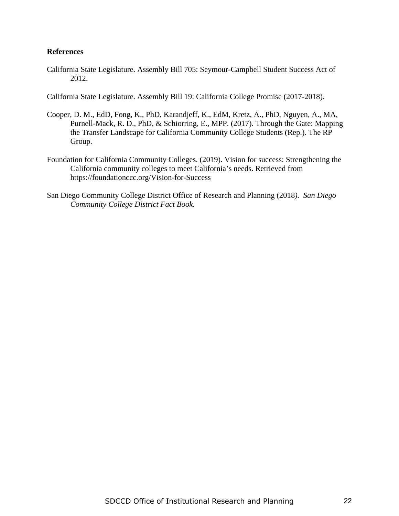## **References**

California State Legislature. Assembly Bill 705: Seymour-Campbell Student Success Act of 2012.

California State Legislature. Assembly Bill 19: California College Promise (2017-2018).

- Cooper, D. M., EdD, Fong, K., PhD, Karandjeff, K., EdM, Kretz, A., PhD, Nguyen, A., MA, Purnell-Mack, R. D., PhD, & Schiorring, E., MPP. (2017). Through the Gate: Mapping the Transfer Landscape for California Community College Students (Rep.). The RP Group.
- Foundation for California Community Colleges. (2019). Vision for success: Strengthening the California community colleges to meet California's needs. Retrieved from https://foundationccc.org/Vision-for-Success
- San Diego Community College District Office of Research and Planning (2018*). San Diego Community College District Fact Book.*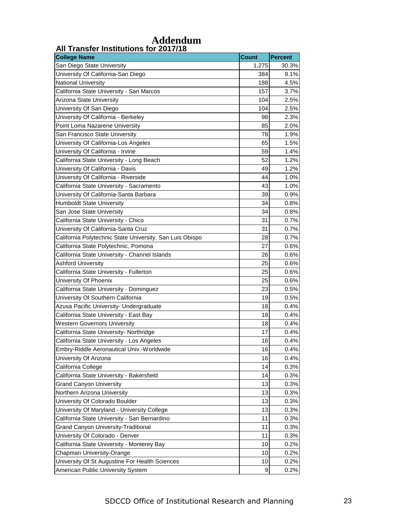| <b>College Name</b>                                      | <b>Count</b> | <b>Percent</b> |
|----------------------------------------------------------|--------------|----------------|
| San Diego State University                               | 1,275        | 30.3%          |
| University Of California-San Diego                       | 384          | 9.1%           |
| National University                                      | 188          | 4.5%           |
| California State University - San Marcos                 | 157          | 3.7%           |
| Arizona State University                                 | 104          | 2.5%           |
| University Of San Diego                                  | 104          | 2.5%           |
| University Of California - Berkeley                      | 98           | 2.3%           |
| Point Loma Nazarene University                           | 85           | 2.0%           |
| San Francisco State University                           | 78           | 1.9%           |
| University Of California-Los Angeles                     | 65           | 1.5%           |
| University Of California - Irvine                        | 59           | 1.4%           |
| California State University - Long Beach                 | 52           | 1.2%           |
| University Of California - Davis                         | 49           | 1.2%           |
| University Of California - Riverside                     | 44           | 1.0%           |
| California State University - Sacramento                 | 43           | 1.0%           |
| University Of California-Santa Barbara                   | 39           | 0.9%           |
| <b>Humboldt State University</b>                         | 34           | 0.8%           |
| San Jose State University                                | 34           | 0.8%           |
| California State University - Chico                      | 31           | 0.7%           |
| University Of California-Santa Cruz                      | 31           | 0.7%           |
| California Polytechnic State University, San Luis Obispo | 28           | 0.7%           |
| California State Polytechnic, Pomona                     | 27           | 0.6%           |
| California State University - Channel Islands            | 26           | 0.6%           |
| <b>Ashford University</b>                                | 25           | 0.6%           |
| California State University - Fullerton                  | 25           | 0.6%           |
| University Of Phoenix                                    | 25           | 0.6%           |
| California State University - Dominguez                  | 23           | 0.5%           |
| University Of Southern California                        | 19           | 0.5%           |
| Azusa Pacific University- Undergraduate                  | 18           | 0.4%           |
| California State University - East Bay                   | 18           | 0.4%           |
| <b>Western Governors University</b>                      | 18           | 0.4%           |
| California State University- Northridge                  | 17           | 0.4%           |
| California State University - Los Angeles                | 16           | 0.4%           |
| Embry-Riddle Aeronautical Univ.-Worldwide                | 16           | 0.4%           |
| University Of Arizona                                    | 16           | 0.4%           |
| California College                                       | 14           | 0.3%           |
| California State University - Bakersfield                | 14           | 0.3%           |
| <b>Grand Canyon University</b>                           | 13           | 0.3%           |
| Northern Arizona University                              | 13           | 0.3%           |
| University Of Colorado Boulder                           | 13           | 0.3%           |
| University Of Maryland - University College              | 13           | 0.3%           |
| California State University - San Bernardino             | 11           | 0.3%           |
| <b>Grand Canyon University-Traditional</b>               | 11           | 0.3%           |
| University Of Colorado - Denver                          | 11           | 0.3%           |
| California State University - Monterey Bay               | 10           | 0.2%           |
| Chapman University-Orange                                | 10           | 0.2%           |
| University Of St Augustine For Health Sciences           | 10           | 0.2%           |
| American Public University System                        | 9            | 0.2%           |

## *Addendum* **All Transfer Institutions for 2017/18**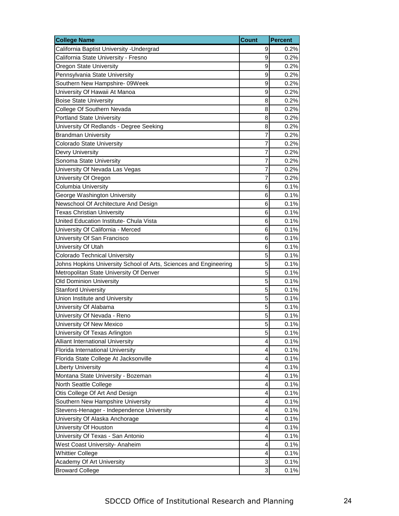| <b>College Name</b>                                               | <b>Count</b> | Percent |
|-------------------------------------------------------------------|--------------|---------|
| California Baptist University - Undergrad                         | 9            | 0.2%    |
| California State University - Fresno                              | 9            | 0.2%    |
| <b>Oregon State University</b>                                    | 9            | 0.2%    |
| Pennsylvania State University                                     | 9            | 0.2%    |
| Southern New Hampshire- 09Week                                    | 9            | 0.2%    |
| University Of Hawaii At Manoa                                     | 9            | 0.2%    |
| <b>Boise State University</b>                                     | 8            | 0.2%    |
| College Of Southern Nevada                                        | 8            | 0.2%    |
| <b>Portland State University</b>                                  | 8            | 0.2%    |
| University Of Redlands - Degree Seeking                           | 8            | 0.2%    |
| <b>Brandman University</b>                                        | 7            | 0.2%    |
| <b>Colorado State University</b>                                  | 7            | 0.2%    |
| Devry University                                                  | 7            | 0.2%    |
| Sonoma State University                                           | 7            | 0.2%    |
| University Of Nevada Las Vegas                                    | 7            | 0.2%    |
| University Of Oregon                                              | 7            | 0.2%    |
| <b>Columbia University</b>                                        | 6            | 0.1%    |
| George Washington University                                      | 6            | 0.1%    |
| Newschool Of Architecture And Design                              | 6            | 0.1%    |
| <b>Texas Christian University</b>                                 | 6            | 0.1%    |
| United Education Institute- Chula Vista                           | 6            | 0.1%    |
| University Of California - Merced                                 | 6            | 0.1%    |
| University Of San Francisco                                       | 6            | 0.1%    |
| University Of Utah                                                | 6            | 0.1%    |
| <b>Colorado Technical University</b>                              | 5            | 0.1%    |
| Johns Hopkins University School of Arts, Sciences and Engineering | 5            | 0.1%    |
| Metropolitan State University Of Denver                           | 5            | 0.1%    |
| <b>Old Dominion University</b>                                    | 5            | 0.1%    |
| <b>Stanford University</b>                                        | 5            | 0.1%    |
| Union Institute and University                                    | 5            | 0.1%    |
| University Of Alabama                                             | 5            | 0.1%    |
| University Of Nevada - Reno                                       | 5            | 0.1%    |
| University Of New Mexico                                          | 5            | 0.1%    |
| University Of Texas Arlington                                     | 5            | 0.1%    |
| Alliant International University                                  | 4            | 0.1%    |
| Florida International University                                  | 4            | 0.1%    |
| Florida State College At Jacksonville                             | 4            | 0.1%    |
| <b>Liberty University</b>                                         | 4            | 0.1%    |
| Montana State University - Bozeman                                | 4            | 0.1%    |
| North Seattle College                                             | 4            | 0.1%    |
| Otis College Of Art And Design                                    | 4            | 0.1%    |
| Southern New Hampshire University                                 | 4            | 0.1%    |
| Stevens-Henager - Independence University                         | 4            | 0.1%    |
| University Of Alaska Anchorage                                    | 4            | 0.1%    |
| University Of Houston                                             | 4            | 0.1%    |
| University Of Texas - San Antonio                                 | 4            | 0.1%    |
| West Coast University- Anaheim                                    | 4            | 0.1%    |
| <b>Whittier College</b>                                           | 4            | 0.1%    |
| Academy Of Art University                                         | 3            | 0.1%    |
| <b>Broward College</b>                                            | 3            | 0.1%    |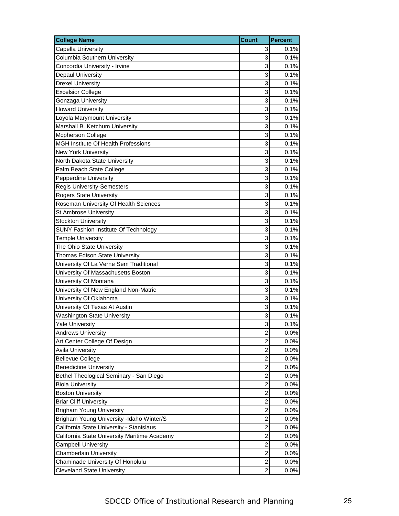| <b>College Name</b>                          | <b>Count</b>            | <b>Percent</b> |
|----------------------------------------------|-------------------------|----------------|
| Capella University                           | 3                       | 0.1%           |
| Columbia Southern University                 | 3                       | 0.1%           |
| Concordia University - Irvine                | 3                       | 0.1%           |
| Depaul University                            | 3                       | 0.1%           |
| <b>Drexel University</b>                     | 3                       | 0.1%           |
| <b>Excelsior College</b>                     | 3                       | 0.1%           |
| Gonzaga University                           | 3                       | 0.1%           |
| <b>Howard University</b>                     | 3                       | 0.1%           |
| Loyola Marymount University                  | 3                       | 0.1%           |
| Marshall B. Ketchum University               | 3                       | 0.1%           |
| <b>Mcpherson College</b>                     | 3                       | 0.1%           |
| MGH Institute Of Health Professions          | 3                       | 0.1%           |
| New York University                          | 3                       | 0.1%           |
| North Dakota State University                | 3                       | 0.1%           |
| Palm Beach State College                     | 3                       | 0.1%           |
| Pepperdine University                        | 3                       | 0.1%           |
| <b>Regis University-Semesters</b>            | 3                       | 0.1%           |
| <b>Rogers State University</b>               | 3                       | 0.1%           |
| Roseman University Of Health Sciences        | 3                       | 0.1%           |
| St Ambrose University                        | 3                       | 0.1%           |
| <b>Stockton University</b>                   | 3                       | 0.1%           |
| SUNY Fashion Institute Of Technology         | 3                       | 0.1%           |
| <b>Temple University</b>                     | 3                       | 0.1%           |
| The Ohio State University                    | 3                       | 0.1%           |
| Thomas Edison State University               | 3                       | 0.1%           |
| University Of La Verne Sem Traditional       | 3                       | 0.1%           |
| University Of Massachusetts Boston           | 3                       | 0.1%           |
| University Of Montana                        | 3                       | 0.1%           |
| University Of New England Non-Matric         | 3                       | 0.1%           |
| University Of Oklahoma                       | 3                       | 0.1%           |
| University Of Texas At Austin                | 3                       | 0.1%           |
| <b>Washington State University</b>           | 3                       | 0.1%           |
| <b>Yale University</b>                       | 3                       | 0.1%           |
| <b>Andrews University</b>                    | $\overline{\mathbf{c}}$ | 0.0%           |
| Art Center College Of Design                 | $\overline{c}$          | 0.0%           |
| <b>Avila University</b>                      | $\overline{c}$          | 0.0%           |
| <b>Bellevue College</b>                      | $\mathbf 2$             | 0.0%           |
| <b>Benedictine University</b>                | $\overline{\mathbf{c}}$ | 0.0%           |
| Bethel Theological Seminary - San Diego      | $\overline{\mathbf{c}}$ | 0.0%           |
| <b>Biola University</b>                      | $\overline{c}$          | 0.0%           |
| <b>Boston University</b>                     | $\overline{c}$          | 0.0%           |
| <b>Briar Cliff University</b>                | $\overline{c}$          | 0.0%           |
| <b>Brigham Young University</b>              | $\overline{c}$          | 0.0%           |
| Brigham Young University -Idaho Winter/S     | $\overline{\mathbf{c}}$ | 0.0%           |
| California State University - Stanislaus     | $\overline{c}$          | 0.0%           |
| California State University Maritime Academy | $\overline{c}$          | 0.0%           |
| <b>Campbell University</b>                   | $\overline{c}$          | 0.0%           |
| Chamberlain University                       | $\overline{c}$          | 0.0%           |
| Chaminade University Of Honolulu             | 2                       | 0.0%           |
| <b>Cleveland State University</b>            | $\overline{2}$          | 0.0%           |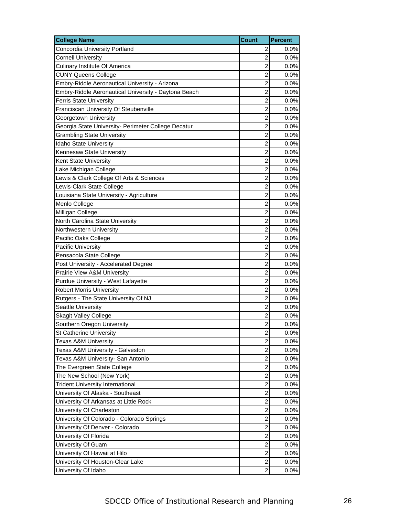| <b>College Name</b>                                  | <b>Count</b>            | <b>Percent</b> |
|------------------------------------------------------|-------------------------|----------------|
| Concordia University Portland                        | $\overline{c}$          | $0.0\%$        |
| <b>Cornell University</b>                            | $\overline{2}$          | 0.0%           |
| <b>Culinary Institute Of America</b>                 | $\overline{c}$          | 0.0%           |
| <b>CUNY Queens College</b>                           | $\overline{c}$          | 0.0%           |
| Embry-Riddle Aeronautical University - Arizona       | 2                       | 0.0%           |
| Embry-Riddle Aeronautical University - Daytona Beach | $\overline{c}$          | 0.0%           |
| <b>Ferris State University</b>                       | $\overline{c}$          | 0.0%           |
| Franciscan University Of Steubenville                | $\overline{c}$          | 0.0%           |
| Georgetown University                                | $\overline{c}$          | 0.0%           |
| Georgia State University- Perimeter College Decatur  | $\overline{2}$          | 0.0%           |
| <b>Grambling State University</b>                    | $\overline{c}$          | 0.0%           |
| Idaho State University                               | $\overline{c}$          | 0.0%           |
| Kennesaw State University                            | $\overline{c}$          | 0.0%           |
| Kent State University                                | $\overline{c}$          | 0.0%           |
| Lake Michigan College                                | $\overline{2}$          | 0.0%           |
| Lewis & Clark College Of Arts & Sciences             | $\overline{c}$          | 0.0%           |
| Lewis-Clark State College                            | $\overline{c}$          | 0.0%           |
| Louisiana State University - Agriculture             | $\overline{c}$          | 0.0%           |
| Menlo College                                        | $\overline{c}$          | 0.0%           |
| Milligan College                                     | $\overline{2}$          | 0.0%           |
| North Carolina State University                      | $\overline{c}$          | 0.0%           |
| Northwestern University                              | $\overline{c}$          | 0.0%           |
| Pacific Oaks College                                 | $\overline{c}$          | 0.0%           |
| <b>Pacific University</b>                            | $\overline{c}$          | 0.0%           |
| Pensacola State College                              | $\overline{2}$          | 0.0%           |
| Post University - Accelerated Degree                 | $\overline{c}$          | 0.0%           |
| Prairie View A&M University                          | $\overline{c}$          | 0.0%           |
| Purdue University - West Lafayette                   | $\overline{c}$          | 0.0%           |
| <b>Robert Morris University</b>                      | $\overline{c}$          | 0.0%           |
| Rutgers - The State University Of NJ                 | $\overline{2}$          | 0.0%           |
| <b>Seattle University</b>                            | $\overline{2}$          | 0.0%           |
| <b>Skagit Valley College</b>                         | $\overline{c}$          | 0.0%           |
| Southern Oregon University                           | $\overline{2}$          | 0.0%           |
| <b>St Catherine University</b>                       | $\overline{c}$          | 0.0%           |
| <b>Texas A&amp;M University</b>                      | $\overline{2}$          | 0.0%           |
| Texas A&M University - Galveston                     | $\overline{c}$          | 0.0%           |
| Texas A&M University- San Antonio                    | $\overline{\mathbf{c}}$ | 0.0%           |
| The Evergreen State College                          | $\overline{c}$          | 0.0%           |
| The New School (New York)                            | $\overline{\mathbf{c}}$ | 0.0%           |
| <b>Trident University International</b>              | $\overline{c}$          | 0.0%           |
| University Of Alaska - Southeast                     | $\overline{c}$          | 0.0%           |
| University Of Arkansas at Little Rock                | $\overline{\mathbf{c}}$ | 0.0%           |
| University Of Charleston                             | $\overline{c}$          | $0.0\%$        |
| University Of Colorado - Colorado Springs            | $\overline{c}$          | 0.0%           |
| University Of Denver - Colorado                      | $\overline{c}$          | 0.0%           |
| University Of Florida                                | $\overline{c}$          | 0.0%           |
| University Of Guam                                   | $\overline{\mathbf{c}}$ | 0.0%           |
| University Of Hawaii at Hilo                         | $\overline{c}$          | $0.0\%$        |
| University Of Houston-Clear Lake                     | $\overline{\mathbf{c}}$ | 0.0%           |
| University Of Idaho                                  | $\overline{2}$          | 0.0%           |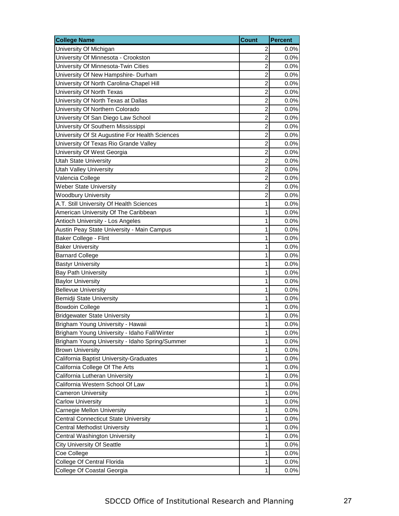| <b>College Name</b>                            | <b>Count</b>            | <b>Percent</b> |
|------------------------------------------------|-------------------------|----------------|
| University Of Michigan                         | 2                       | $0.0\%$        |
| University Of Minnesota - Crookston            | 2                       | 0.0%           |
| University Of Minnesota-Twin Cities            | 2                       | 0.0%           |
| University Of New Hampshire- Durham            | $\overline{2}$          | 0.0%           |
| University Of North Carolina-Chapel Hill       | $\overline{c}$          | 0.0%           |
| University Of North Texas                      | 2                       | 0.0%           |
| University Of North Texas at Dallas            | 2                       | 0.0%           |
| University Of Northern Colorado                | $\overline{\mathbf{c}}$ | 0.0%           |
| University Of San Diego Law School             | 2                       | 0.0%           |
| University Of Southern Mississippi             | $\overline{c}$          | 0.0%           |
| University Of St Augustine For Health Sciences | 2                       | 0.0%           |
| University Of Texas Rio Grande Valley          | 2                       | 0.0%           |
| University Of West Georgia                     | $\overline{\mathbf{c}}$ | 0.0%           |
| <b>Utah State University</b>                   | $\overline{c}$          | 0.0%           |
| <b>Utah Valley University</b>                  | $\overline{c}$          | 0.0%           |
| Valencia College                               | 2                       | 0.0%           |
| <b>Weber State University</b>                  | 2                       | 0.0%           |
| <b>Woodbury University</b>                     | 2                       | 0.0%           |
| A.T. Still University Of Health Sciences       | 1                       | 0.0%           |
| American University Of The Caribbean           | 1                       | 0.0%           |
| Antioch University - Los Angeles               | 1                       | 0.0%           |
| Austin Peay State University - Main Campus     | 1                       | 0.0%           |
| Baker College - Flint                          | 1                       | 0.0%           |
| <b>Baker University</b>                        | 1                       | 0.0%           |
| <b>Barnard College</b>                         | 1                       | 0.0%           |
| <b>Bastyr University</b>                       | 1                       | 0.0%           |
| <b>Bay Path University</b>                     | 1                       | 0.0%           |
| <b>Baylor University</b>                       | 1                       | 0.0%           |
| <b>Bellevue University</b>                     | 1                       | 0.0%           |
| Bemidji State University                       | 1                       | 0.0%           |
| <b>Bowdoin College</b>                         | 1                       | 0.0%           |
| <b>Bridgewater State University</b>            | 1                       | 0.0%           |
| Brigham Young University - Hawaii              | 1                       | 0.0%           |
| Brigham Young University - Idaho Fall/Winter   | 1                       | 0.0%           |
| Brigham Young University - Idaho Spring/Summer | 1                       | 0.0%           |
| <b>Brown University</b>                        | 1                       | 0.0%           |
| California Baptist University-Graduates        | 1                       | 0.0%           |
| California College Of The Arts                 | 1                       | 0.0%           |
| California Lutheran University                 | 1                       | 0.0%           |
| California Western School Of Law               | 1                       | 0.0%           |
| <b>Cameron University</b>                      | 1                       | 0.0%           |
| <b>Carlow University</b>                       | $\mathbf{1}$            | 0.0%           |
| Carnegie Mellon University                     | 1                       | 0.0%           |
| <b>Central Connecticut State University</b>    | 1                       | 0.0%           |
| <b>Central Methodist University</b>            | 1                       | 0.0%           |
| Central Washington University                  | 1                       | 0.0%           |
| <b>City University Of Seattle</b>              | $\mathbf{1}$            | 0.0%           |
| Coe College                                    | 1                       | 0.0%           |
| College Of Central Florida                     | 1                       | 0.0%           |
| College Of Coastal Georgia                     | 1                       | 0.0%           |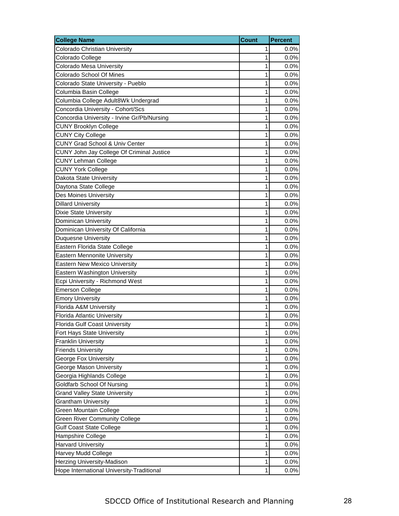| <b>College Name</b>                         | <b>Count</b> | <b>Percent</b> |
|---------------------------------------------|--------------|----------------|
| Colorado Christian University               | 1            | $0.0\%$        |
| Colorado College                            | 1            | 0.0%           |
| Colorado Mesa University                    | 1            | 0.0%           |
| Colorado School Of Mines                    | 1            | 0.0%           |
| Colorado State University - Pueblo          | 1            | 0.0%           |
| Columbia Basin College                      | 1            | 0.0%           |
| Columbia College Adult8Wk Undergrad         | 1            | 0.0%           |
| Concordia University - Cohort/Scs           | 1            | 0.0%           |
| Concordia University - Irvine Gr/Pb/Nursing | 1            | 0.0%           |
| <b>CUNY Brooklyn College</b>                | 1            | 0.0%           |
| <b>CUNY City College</b>                    | 1            | 0.0%           |
| <b>CUNY Grad School &amp; Univ Center</b>   | 1            | 0.0%           |
| CUNY John Jay College Of Criminal Justice   | 1            | 0.0%           |
| <b>CUNY Lehman College</b>                  | 1            | 0.0%           |
| <b>CUNY York College</b>                    | 1            | 0.0%           |
| Dakota State University                     | 1            | 0.0%           |
| Daytona State College                       | 1            | 0.0%           |
| <b>Des Moines University</b>                | 1            | 0.0%           |
| <b>Dillard University</b>                   | 1            | 0.0%           |
| Dixie State University                      | 1            | 0.0%           |
| Dominican University                        | 1            | 0.0%           |
| Dominican University Of California          | 1            | 0.0%           |
| <b>Duquesne University</b>                  | 1            | 0.0%           |
| Eastern Florida State College               | 1            | 0.0%           |
| Eastern Mennonite University                | 1            | 0.0%           |
| <b>Eastern New Mexico University</b>        | 1            | 0.0%           |
| Eastern Washington University               | 1            | 0.0%           |
| Ecpi University - Richmond West             | 1            | 0.0%           |
| <b>Emerson College</b>                      | 1            | 0.0%           |
| <b>Emory University</b>                     | 1            | 0.0%           |
| Florida A&M University                      | 1            | 0.0%           |
| Florida Atlantic University                 | 1            | 0.0%           |
| Florida Gulf Coast University               | 1            | 0.0%           |
| Fort Hays State University                  | 1            | 0.0%           |
| <b>Franklin University</b>                  | 1            | 0.0%           |
| <b>Friends University</b>                   | 1            | 0.0%           |
| George Fox University                       | 1            | 0.0%           |
| George Mason University                     | 1            | 0.0%           |
| Georgia Highlands College                   | 1            | 0.0%           |
| Goldfarb School Of Nursing                  | 1            | 0.0%           |
| <b>Grand Valley State University</b>        | 1            | 0.0%           |
| <b>Grantham University</b>                  | 1            | 0.0%           |
| Green Mountain College                      | 1            | 0.0%           |
| <b>Green River Community College</b>        | 1            | 0.0%           |
| <b>Gulf Coast State College</b>             | 1            | 0.0%           |
| Hampshire College                           | 1            | 0.0%           |
| <b>Harvard University</b>                   | 1            | 0.0%           |
| Harvey Mudd College                         | 1            | 0.0%           |
| Herzing University-Madison                  | 1            | 0.0%           |
| Hope International University-Traditional   | 1            | 0.0%           |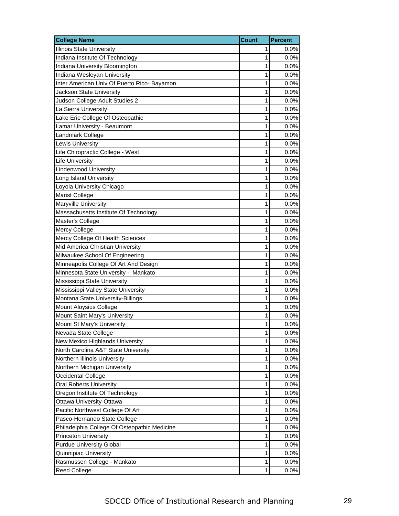| <b>College Name</b>                          | <b>Count</b> | <b>Percent</b> |
|----------------------------------------------|--------------|----------------|
| <b>Illinois State University</b>             | 1            | 0.0%           |
| Indiana Institute Of Technology              | 1            | 0.0%           |
| Indiana University Bloomington               | 1            | 0.0%           |
| Indiana Wesleyan University                  | 1            | 0.0%           |
| Inter American Univ Of Puerto Rico- Bayamon  | 1            | 0.0%           |
| Jackson State University                     | 1            | 0.0%           |
| Judson College-Adult Studies 2               | 1            | 0.0%           |
| La Sierra University                         | 1            | 0.0%           |
| Lake Erie College Of Osteopathic             | 1            | 0.0%           |
| Lamar University - Beaumont                  | 1            | 0.0%           |
| Landmark College                             | 1            | 0.0%           |
| Lewis University                             | 1            | 0.0%           |
| Life Chiropractic College - West             | 1            | 0.0%           |
| <b>Life University</b>                       | 1            | 0.0%           |
| <b>Lindenwood University</b>                 | 1            | 0.0%           |
| Long Island University                       | 1            | 0.0%           |
| Loyola University Chicago                    | 1            | 0.0%           |
| <b>Marist College</b>                        | 1            | 0.0%           |
| Maryville University                         | 1            | 0.0%           |
| Massachusetts Institute Of Technology        | 1            | 0.0%           |
| Master's College                             | 1            | 0.0%           |
| Mercy College                                | 1            | 0.0%           |
| Mercy College Of Health Sciences             | 1            | 0.0%           |
| Mid America Christian University             | 1            | 0.0%           |
| Milwaukee School Of Engineering              | 1            | 0.0%           |
| Minneapolis College Of Art And Design        | 1            | 0.0%           |
| Minnesota State University - Mankato         | 1            | 0.0%           |
| Mississippi State University                 | 1            | 0.0%           |
| Mississippi Valley State University          | 1            | 0.0%           |
| Montana State University-Billings            | 1            | 0.0%           |
| Mount Aloysius College                       | 1            | 0.0%           |
| Mount Saint Mary's University                | 1            | 0.0%           |
| Mount St Mary's University                   | 1            | 0.0%           |
| Nevada State College                         | 1            | 0.0%           |
| New Mexico Highlands University              | 1            | 0.0%           |
| North Carolina A&T State University          | 1            | 0.0%           |
| Northern Illinois University                 | 1            | 0.0%           |
| Northern Michigan University                 | 1            | 0.0%           |
| Occidental College                           | 1            | 0.0%           |
| <b>Oral Roberts University</b>               | 1            | 0.0%           |
| Oregon Institute Of Technology               | 1            | 0.0%           |
| Ottawa University-Ottawa                     | 1            | 0.0%           |
| Pacific Northwest College Of Art             | 1            | 0.0%           |
| Pasco-Hernando State College                 | 1            | 0.0%           |
| Philadelphia College Of Osteopathic Medicine | 1            | 0.0%           |
| <b>Princeton University</b>                  | 1            | 0.0%           |
| <b>Purdue University Global</b>              | 1            | 0.0%           |
| Quinnipiac University                        | 1            | 0.0%           |
| Rasmussen College - Mankato                  | 1            | 0.0%           |
| <b>Reed College</b>                          | 1            | 0.0%           |
|                                              |              |                |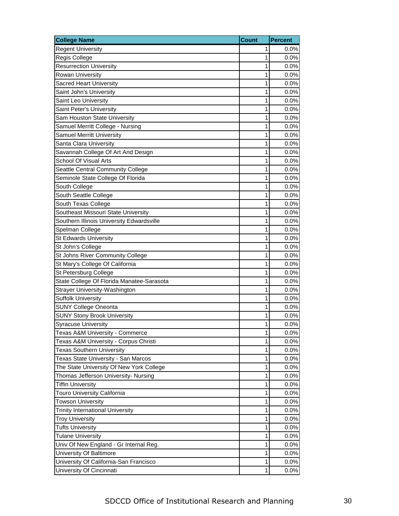| <b>College Name</b>                       | <b>Count</b> | <b>Percent</b> |
|-------------------------------------------|--------------|----------------|
| <b>Regent University</b>                  | 1            | 0.0%           |
| <b>Regis College</b>                      | 1            | 0.0%           |
| <b>Resurrection University</b>            | 1            | 0.0%           |
| Rowan University                          | 1            | 0.0%           |
| <b>Sacred Heart University</b>            | 1            | 0.0%           |
| Saint John's University                   | 1            | 0.0%           |
| Saint Leo University                      | 1            | 0.0%           |
| Saint Peter's University                  | 1            | 0.0%           |
| Sam Houston State University              | 1            | 0.0%           |
| Samuel Merritt College - Nursing          | 1            | 0.0%           |
| <b>Samuel Merritt University</b>          | 1            | 0.0%           |
| Santa Clara University                    | 1            | 0.0%           |
| Savannah College Of Art And Design        | 1            | 0.0%           |
| School Of Visual Arts                     | 1            | 0.0%           |
| Seattle Central Community College         | 1            | 0.0%           |
| Seminole State College Of Florida         | 1            | 0.0%           |
| South College                             | 1            | 0.0%           |
| South Seattle College                     | 1            | 0.0%           |
| South Texas College                       | 1            | 0.0%           |
| Southeast Missouri State University       | 1            | 0.0%           |
| Southern Illinois University Edwardsville | 1            | 0.0%           |
| Spelman College                           | 1            | 0.0%           |
| <b>St Edwards University</b>              | 1            | 0.0%           |
| St John's College                         | 1            | 0.0%           |
| St Johns River Community College          | 1            | 0.0%           |
| St Mary's College Of California           | 1            | 0.0%           |
| St Petersburg College                     | 1            | 0.0%           |
| State College Of Florida Manatee-Sarasota | 1            | 0.0%           |
| Strayer University-Washington             | 1            | 0.0%           |
| <b>Suffolk University</b>                 | 1            | 0.0%           |
| <b>SUNY College Oneonta</b>               | 1            | 0.0%           |
| <b>SUNY Stony Brook University</b>        | 1            | 0.0%           |
| <b>Syracuse University</b>                | 1            | 0.0%           |
| Texas A&M University - Commerce           | 1            | 0.0%           |
| Texas A&M University - Corpus Christi     | 1            | 0.0%           |
| <b>Texas Southern University</b>          | 1            | 0.0%           |
| Texas State University - San Marcos       | 1            | 0.0%           |
| The State University Of New York College  | 1            | $0.0\%$        |
| Thomas Jefferson University- Nursing      | 1            | 0.0%           |
| <b>Tiffin University</b>                  | 1            | 0.0%           |
| Touro University California               | 1            | 0.0%           |
| <b>Towson University</b>                  | $\mathbf{1}$ | 0.0%           |
| <b>Trinity International University</b>   | 1            | 0.0%           |
| <b>Troy University</b>                    | 1            | 0.0%           |
| <b>Tufts University</b>                   | 1            | 0.0%           |
| <b>Tulane University</b>                  | 1            | 0.0%           |
| Univ Of New England - Gr Internal Reg.    | 1            | 0.0%           |
| University Of Baltimore                   | 1            | $0.0\%$        |
| University Of California-San Francisco    | 1            | 0.0%           |
| University Of Cincinnati                  | 1            | 0.0%           |